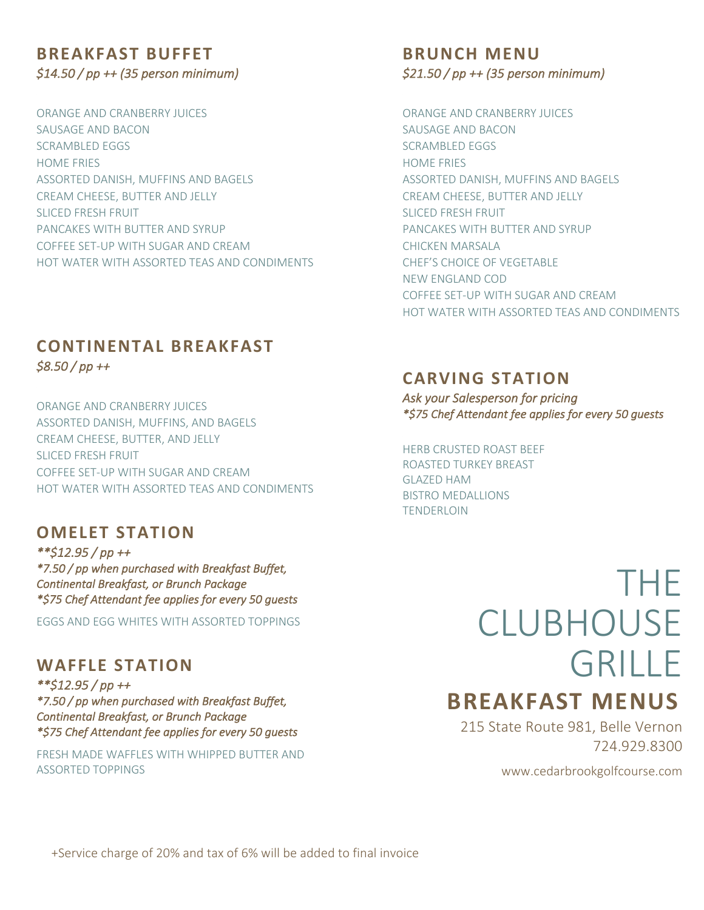## **BREAKFAST BUFFET** *\$14.50 / pp ++ (35 person minimum)*

ORANGE AND CRANBERRY JUICES SAUSAGE AND BACON SCRAMBLED EGGS HOME FRIES ASSORTED DANISH, MUFFINS AND BAGELS CREAM CHEESE, BUTTER AND JELLY SLICED FRESH FRUIT PANCAKES WITH BUTTER AND SYRUP COFFEE SET-UP WITH SUGAR AND CREAM HOT WATER WITH ASSORTED TEAS AND CONDIMENTS

## **CONTINENTAL BREAKFAST** *\$8.50 / pp ++*

ORANGE AND CRANBERRY JUICES ASSORTED DANISH, MUFFINS, AND BAGELS CREAM CHEESE, BUTTER, AND JELLY SLICED FRESH FRUIT COFFEE SET-UP WITH SUGAR AND CREAM HOT WATER WITH ASSORTED TEAS AND CONDIMENTS

### **OMELET STATION**

*\*\*\$12.95 / pp ++ \*7.50 / pp when purchased with Breakfast Buffet, Continental Breakfast, or Brunch Package \*\$75 Chef Attendant fee applies for every 50 guests* 

EGGS AND EGG WHITES WITH ASSORTED TOPPINGS

## **WAFFLE STATION**

*\*\*\$12.95 / pp ++ \*7.50 / pp when purchased with Breakfast Buffet, Continental Breakfast, or Brunch Package \*\$75 Chef Attendant fee applies for every 50 guests* 

FRESH MADE WAFFLES WITH WHIPPED BUTTER AND ASSORTED TOPPINGS

#### **BRUNCH MENU** *\$21.50 / pp ++ (35 person minimum)*

ORANGE AND CRANBERRY JUICES SAUSAGE AND BACON SCRAMBLED EGGS HOME FRIES ASSORTED DANISH, MUFFINS AND BAGELS CREAM CHEESE, BUTTER AND JELLY SLICED FRESH FRUIT PANCAKES WITH BUTTER AND SYRUP CHICKEN MARSALA CHEF'S CHOICE OF VEGETABLE NEW ENGLAND COD COFFEE SET-UP WITH SUGAR AND CREAM HOT WATER WITH ASSORTED TEAS AND CONDIMENTS

#### **CARVING STATION**

*Ask your Salesperson for pricing \*\$75 Chef Attendant fee applies for every 50 guests* 

#### HERB CRUSTED ROAST BEEF

ROASTED TURKEY BREAST GLAZED HAM BISTRO MEDALLIONS TENDERLOIN

> THE **CLUBHOUSE** GRILLE

## **BREAKFAST MENUS**

215 State Route 981, Belle Vernon 724.929.8300

www.cedarbrookgolfcourse.com

+Service charge of 20% and tax of 6% will be added to final invoice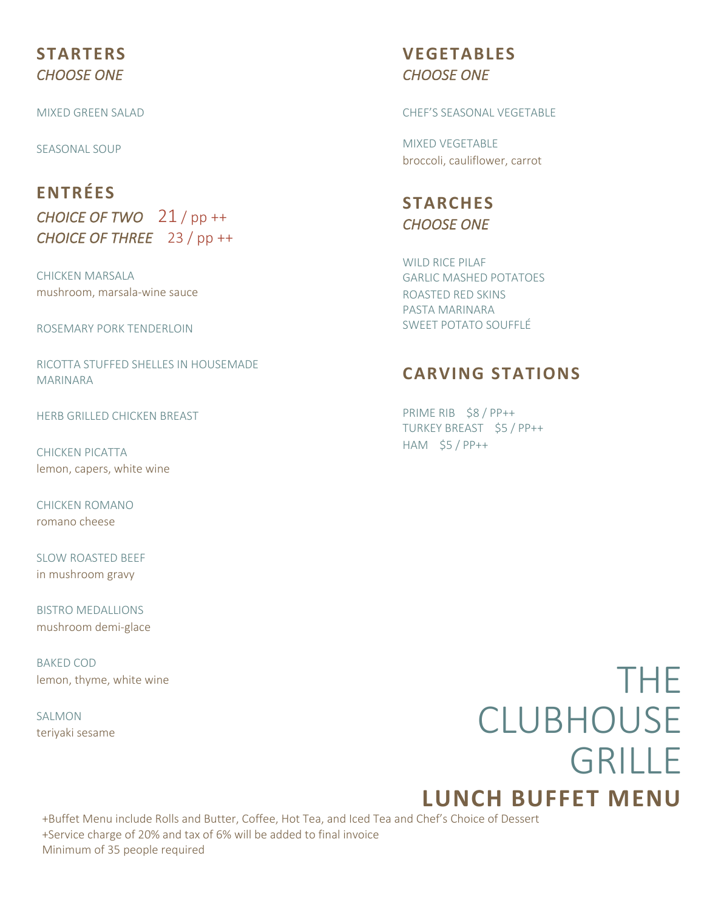## **STARTERS** *CHOOSE ONE*

MIXED GREEN SALAD

SEASONAL SOUP

## **ENTRÉES** *CHOICE OF TWO* 21 / pp ++ *CHOICE OF THREE* 23 / pp ++

CHICKEN MARSALA mushroom, marsala-wine sauce

ROSEMARY PORK TENDERLOIN

RICOTTA STUFFED SHELLES IN HOUSEMADE MARINARA

HERB GRILLED CHICKEN BREAST

CHICKEN PICATTA lemon, capers, white wine

CHICKEN ROMANO romano cheese

SLOW ROASTED BEEF in mushroom gravy

BISTRO MEDALLIONS mushroom demi-glace

BAKED COD lemon, thyme, white wine

SALMON teriyaki sesame

## **VEGETABLES** *CHOOSE ONE*

CHEF'S SEASONAL VEGETABLE

MIXED VEGETABLE broccoli, cauliflower, carrot

**STARCHES** *CHOOSE ONE* 

WILD RICE PILAE GARLIC MASHED POTATOES ROASTED RED SKINS PASTA MARINARA SWEET POTATO SOUFFLÉ

## **CARVING STATIONS**

PRIME RIB \$8 / PP++ TURKEY BREAST \$5 / PP++ HAM \$5 / PP++

## THE CLUBHOUSE **GRILLE LUNCH BUFFET MENU**

+Buffet Menu include Rolls and Butter, Coffee, Hot Tea, and Iced Tea and Chef's Choice of Dessert<br>LService charge of 20% and tax of 6% will be added to final invoice +Service charge of 20% and tax of 6% will be added to final invoice Minimum of 35 people required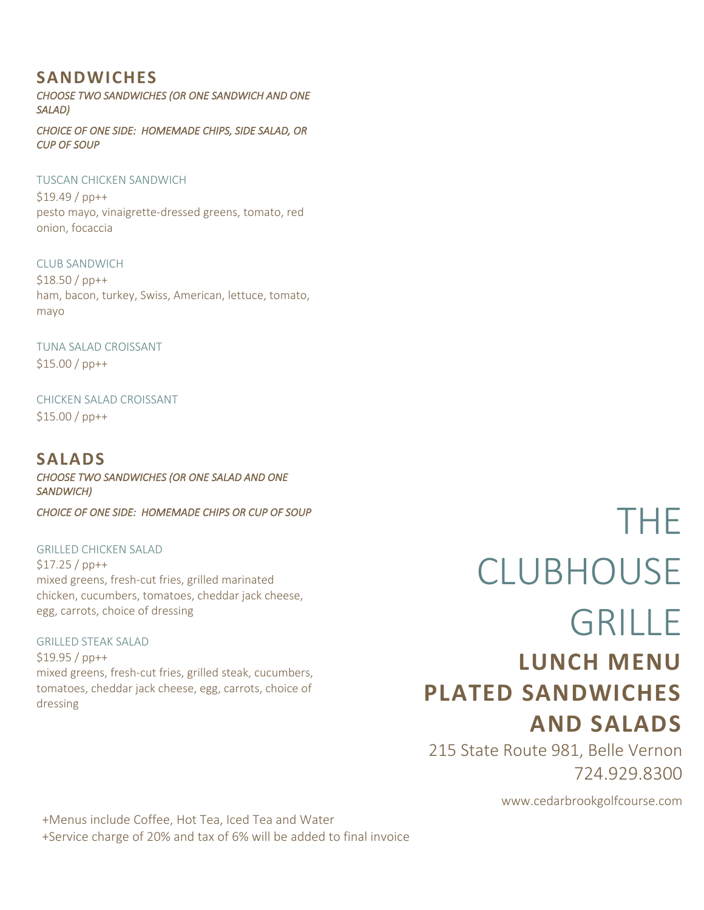## **SANDWICHES**

*CHOOSE TWO SANDWICHES (OR ONE SANDWICH AND ONE SALAD)* 

*CHOICE OF ONE SIDE: HOMEMADE CHIPS, SIDE SALAD, OR CUP OF SOUP* 

#### TUSCAN CHICKEN SANDWICH

\$19.49 / pp++ pesto mayo, vinaigrette-dressed greens, tomato, red onion, focaccia

CLUB SANDWICH \$18.50 / pp++ ham, bacon, turkey, Swiss, American, lettuce, tomato, mayo

TUNA SALAD CROISSANT \$15.00 / pp++

CHICKEN SALAD CROISSANT \$15.00 / pp++

## **SALADS**

*CHOOSE TWO SANDWICHES (OR ONE SALAD AND ONE SANDWICH)* 

*CHOICE OF ONE SIDE: HOMEMADE CHIPS OR CUP OF SOUP* 

GRILLED CHICKEN SALAD \$17.25 / pp++ mixed greens, fresh-cut fries, grilled marinated chicken, cucumbers, tomatoes, cheddar jack cheese, egg, carrots, choice of dressing

GRILLED STEAK SALAD \$19.95 / pp++ mixed greens, fresh-cut fries, grilled steak, cucumbers, tomatoes, cheddar jack cheese, egg, carrots, choice of dressing

# THE CLUBHOUSE GRILLE **LUNCH MENU PLATED SANDWICHES**

215 State Route 981, Belle Vernon 724.929.8300

www.cedarbrookgolfcourse.com

**AND SALADS**

+Menus include Coffee, Hot Tea, Iced Tea and Water +Service charge of 20% and tax of 6% will be added to final invoice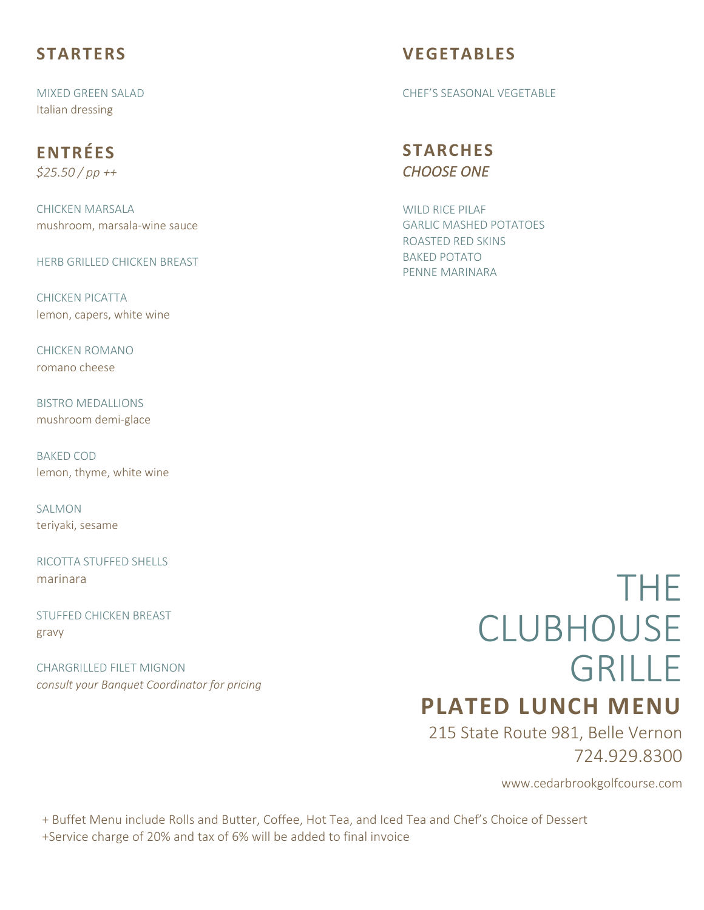## **STARTERS**

MIXED GREEN SALAD Italian dressing

## **ENTRÉES**

*\$25.50 / pp ++*

CHICKEN MARSALA mushroom, marsala-wine sauce

HERB GRILLED CHICKEN BREAST

CHICKEN PICATTA lemon, capers, white wine

CHICKEN ROMANO romano cheese

BISTRO MEDALLIONS mushroom demi-glace

BAKED COD lemon, thyme, white wine

SALMON. teriyaki, sesame

RICOTTA STUFFED SHELLS marinara

STUFFED CHICKEN BREAST gravy

CHARGRILLED FILET MIGNON *consult your Banquet Coordinator for pricing*

## **VEGETABLES**

CHEF'S SEASONAL VEGETABLE

## **STARCHES** *CHOOSE ONE*

WILD RICE PILAF GARLIC MASHED POTATOES ROASTED RED SKINS BAKED POTATO PENNE MARINARA

# THE CLUBHOUSE GRILLE

## **PLATED LUNCH MENU**

215 State Route 981, Belle Vernon 724.929.8300

www.cedarbrookgolfcourse.com

+ Buffet Menu include Rolls and Butter, Coffee, Hot Tea, and Iced Tea and Chef's Choice of Dessert +Service charge of 20% and tax of 6% will be added to final invoice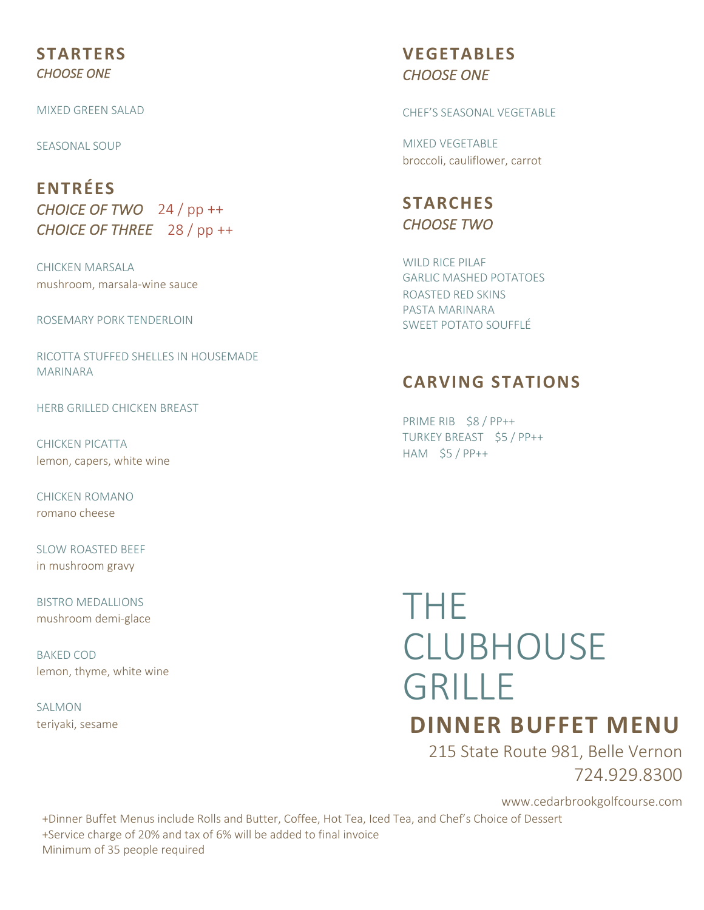#### **STARTERS** *CHOOSE ONE*

MIXED GREEN SALAD

SEASONAL SOUP

**ENTRÉES** *CHOICE OF TWO* 24 / pp ++ *CHOICE OF THREE* 28 / pp ++

CHICKEN MARSALA mushroom, marsala-wine sauce

ROSEMARY PORK TENDERLOIN

RICOTTA STUFFED SHELLES IN HOUSEMADE MARINARA

HERB GRILLED CHICKEN BREAST

CHICKEN PICATTA lemon, capers, white wine

CHICKEN ROMANO romano cheese

SLOW ROASTED BEEF in mushroom gravy

BISTRO MEDALLIONS mushroom demi-glace

BAKED COD lemon, thyme, white wine

SALMON teriyaki, sesame

## **VEGETABLES** *CHOOSE ONE*

CHEF'S SEASONAL VEGETABLE

MIXED VEGETABLE broccoli, cauliflower, carrot

**STARCHES** *CHOOSE TWO* 

WILD RICE PILAE GARLIC MASHED POTATOES ROASTED RED SKINS PASTA MARINARA SWEET POTATO SOUFFLÉ

### **CARVING STATIONS**

PRIME RIB \$8 / PP++ TURKEY BREAST \$5 / PP++ HAM \$5 / PP++

# THE **CLUBHOUSE** GRILLE

## **DINNER BUFFET MENU**

215 State Route 981, Belle Vernon 724.929.8300

www.cedarbrookgolfcourse.com

+Dinner Buffet Menus include Rolls and Butter, Coffee, Hot Tea, Iced Tea, and Chef's Choice of Dessert +Service charge of 20% and tax of 6% will be added to final invoice Minimum of 35 people required